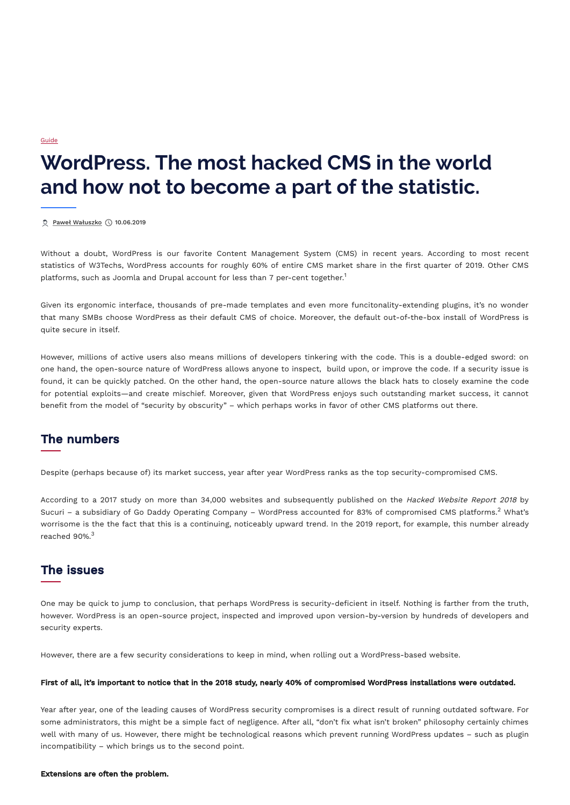Without a doubt, WordPress is our favorite Content Management System (CMS) in recent years. According to most recent statistics of W3Techs, WordPress accounts for roughly 60% of entire CMS market share in the first quarter of 2019. Other CMS platforms, such as Joomla and Drupal account for less than 7 per-cent together.<sup>1</sup>

Given its ergonomic interface, thousands of pre-made templates and even more funcitonality-extending plugins, it's no wonder that many SMBs choose WordPress as their default CMS of choice. Moreover, the default out-of-the-box install of WordPress is quite secure in itself.

According to a 2017 study on more than 34,000 websites and subsequently published on the Hacked Website Report <sup>2018</sup> by Sucuri – a subsidiary of Go Daddy Operating Company – WordPress accounted for 83% of compromised CMS platforms. $^2$  What's worrisome is the the fact that this is a continuing, noticeably upward trend. In the 2019 report, for example, this number already reached 90%. $3$ 

However, millions of active users also means millions of developers tinkering with the code. This is a double-edged sword: on one hand, the open-source nature of WordPress allows anyone to inspect, build upon, or improve the code. If a security issue is found, it can be quickly patched. On the other hand, the open-source nature allows the black hats to closely examine the code for potential exploits—and create mischief. Moreover, given that WordPress enjoys such outstanding market success, it cannot benefit from the model of "security by obscurity" – which perhaps works in favor of other CMS platforms out there.

Despite (perhaps because of) its market success, year after year WordPress ranks as the top security-compromised CMS.

One may be quick to jump to conclusion, that perhaps WordPress is security-deficient in itself. Nothing is farther from the truth,

**[Guide](https://cyberforces.com/en/category/guide)** 

however. WordPress is an open-source project, inspected and improved upon version-by-version by hundreds of developers and security experts.

However, there are a few security considerations to keep in mind, when rolling out a WordPress-based website.

## First of all, it's important to notice that in the 2018 study, nearly 40% of compromised WordPress installations were outdated.

Year after year, one of the leading causes of WordPress security compromises is a direct result of running outdated software. For some administrators, this might be a simple fact of negligence. After all, "don't fix what isn't broken" philosophy certainly chimes well with many of us. However, there might be technological reasons which prevent running WordPress updates – such as plugin incompatibility – which brings us to the second point.

## Extensions are often the problem.

# **WordPress. The most hacked CMS in the world and how not to become a part of the statistic.**

 $Q$  Paweł [Wałuszko](https://cyberforces.com/en/author/pwaluszko)  $Q$  10.06.2019

## The numbers

## The issues